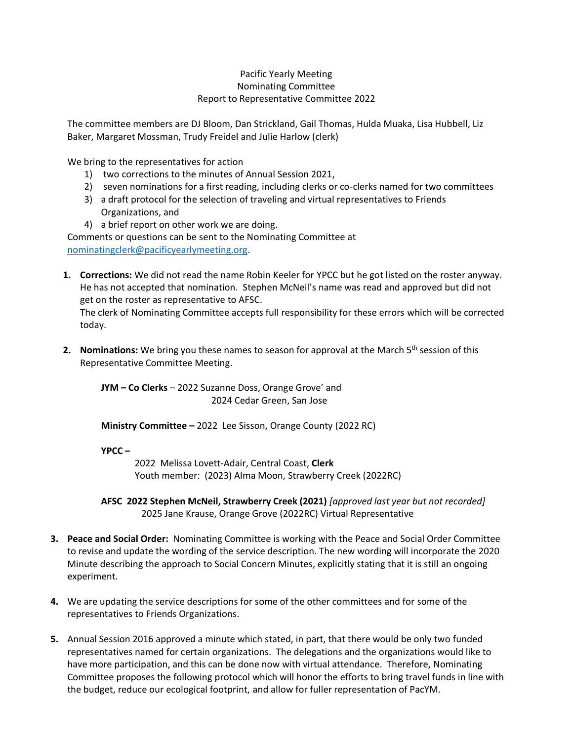## Pacific Yearly Meeting Nominating Committee Report to Representative Committee 2022

The committee members are DJ Bloom, Dan Strickland, Gail Thomas, Hulda Muaka, Lisa Hubbell, Liz Baker, Margaret Mossman, Trudy Freidel and Julie Harlow (clerk)

We bring to the representatives for action

- 1) two corrections to the minutes of Annual Session 2021,
- 2) seven nominations for a first reading, including clerks or co-clerks named for two committees
- 3) a draft protocol for the selection of traveling and virtual representatives to Friends Organizations, and
- 4) a brief report on other work we are doing.

Comments or questions can be sent to the Nominating Committee at [nominatingclerk@pacificyearlymeeting.org.](mailto:nominatingclerk@pacificyearlymeeting.org)

**1. Corrections:** We did not read the name Robin Keeler for YPCC but he got listed on the roster anyway. He has not accepted that nomination. Stephen McNeil's name was read and approved but did not get on the roster as representative to AFSC.

The clerk of Nominating Committee accepts full responsibility for these errors which will be corrected today.

**2. Nominations:** We bring you these names to season for approval at the March 5<sup>th</sup> session of this Representative Committee Meeting.

**JYM – Co Clerks** – 2022 Suzanne Doss, Orange Grove' and 2024 Cedar Green, San Jose

**Ministry Committee –** 2022 Lee Sisson, Orange County (2022 RC)

**YPCC –**

2022 Melissa Lovett-Adair, Central Coast, **Clerk** Youth member: (2023) Alma Moon, Strawberry Creek (2022RC)

**AFSC 2022 Stephen McNeil, Strawberry Creek (2021)** *[approved last year but not recorded]* 2025 Jane Krause, Orange Grove (2022RC) Virtual Representative

- **3. Peace and Social Order:** Nominating Committee is working with the Peace and Social Order Committee to revise and update the wording of the service description. The new wording will incorporate the 2020 Minute describing the approach to Social Concern Minutes, explicitly stating that it is still an ongoing experiment.
- **4.** We are updating the service descriptions for some of the other committees and for some of the representatives to Friends Organizations.
- **5.** Annual Session 2016 approved a minute which stated, in part, that there would be only two funded representatives named for certain organizations. The delegations and the organizations would like to have more participation, and this can be done now with virtual attendance. Therefore, Nominating Committee proposes the following protocol which will honor the efforts to bring travel funds in line with the budget, reduce our ecological footprint, and allow for fuller representation of PacYM.